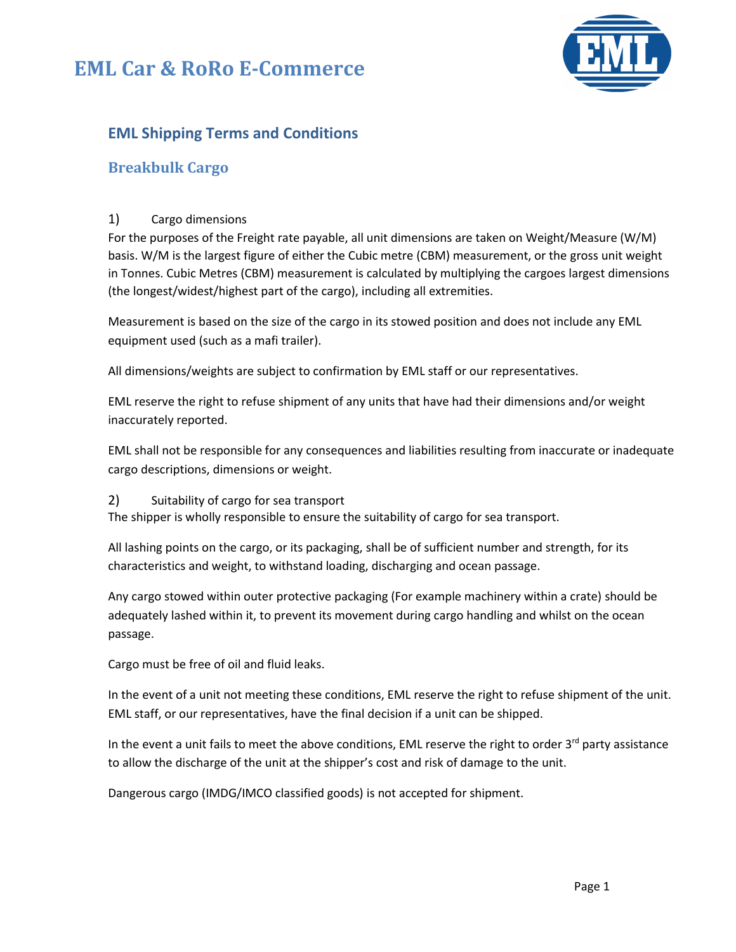## **EML Car & RoRo E-Commerce**



## **EML Shipping Terms and Conditions**

### **Breakbulk Cargo**

### 1) Cargo dimensions

For the purposes of the Freight rate payable, all unit dimensions are taken on Weight/Measure (W/M) basis. W/M is the largest figure of either the Cubic metre (CBM) measurement, or the gross unit weight in Tonnes. Cubic Metres (CBM) measurement is calculated by multiplying the cargoes largest dimensions (the longest/widest/highest part of the cargo), including all extremities.

Measurement is based on the size of the cargo in its stowed position and does not include any EML equipment used (such as a mafi trailer).

All dimensions/weights are subject to confirmation by EML staff or our representatives.

EML reserve the right to refuse shipment of any units that have had their dimensions and/or weight inaccurately reported.

EML shall not be responsible for any consequences and liabilities resulting from inaccurate or inadequate cargo descriptions, dimensions or weight.

#### 2) Suitability of cargo for sea transport

The shipper is wholly responsible to ensure the suitability of cargo for sea transport.

All lashing points on the cargo, or its packaging, shall be of sufficient number and strength, for its characteristics and weight, to withstand loading, discharging and ocean passage.

Any cargo stowed within outer protective packaging (For example machinery within a crate) should be adequately lashed within it, to prevent its movement during cargo handling and whilst on the ocean passage.

Cargo must be free of oil and fluid leaks.

In the event of a unit not meeting these conditions, EML reserve the right to refuse shipment of the unit. EML staff, or our representatives, have the final decision if a unit can be shipped.

In the event a unit fails to meet the above conditions, EML reserve the right to order  $3<sup>rd</sup>$  party assistance to allow the discharge of the unit at the shipper's cost and risk of damage to the unit.

Dangerous cargo (IMDG/IMCO classified goods) is not accepted for shipment.